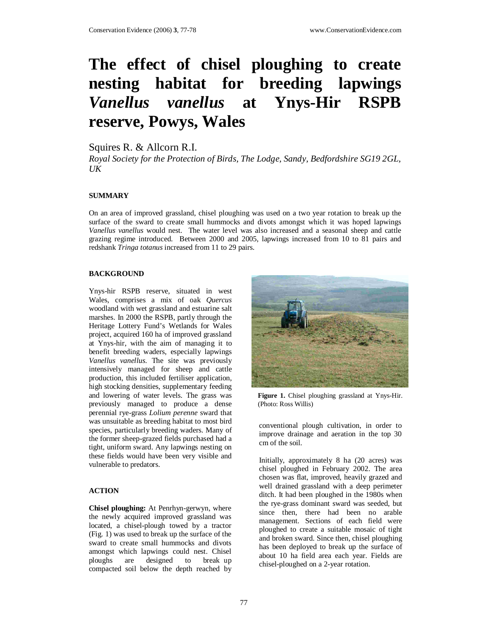# **The effect of chisel ploughing to create nesting habitat for breeding lapwings**  *Vanellus vanellus* **at Ynys-Hir RSPB reserve, Powys, Wales**

# Squires R. & Allcorn R.I.

*Royal Society for the Protection of Birds, The Lodge, Sandy, Bedfordshire SG19 2GL, UK* 

## **SUMMARY**

On an area of improved grassland, chisel ploughing was used on a two year rotation to break up the surface of the sward to create small hummocks and divots amongst which it was hoped lapwings *Vanellus vanellus* would nest. The water level was also increased and a seasonal sheep and cattle grazing regime introduced. Between 2000 and 2005, lapwings increased from 10 to 81 pairs and redshank *Tringa totanus* increased from 11 to 29 pairs.

#### **BACKGROUND**

Ynys-hir RSPB reserve, situated in west Wales, comprises a mix of oak *Quercus* woodland with wet grassland and estuarine salt marshes. In 2000 the RSPB, partly through the Heritage Lottery Fund's Wetlands for Wales project, acquired 160 ha of improved grassland at Ynys-hir, with the aim of managing it to benefit breeding waders, especially lapwings *Vanellus vanellus*. The site was previously intensively managed for sheep and cattle production, this included fertiliser application, high stocking densities, supplementary feeding and lowering of water levels. The grass was previously managed to produce a dense perennial rye-grass *Lolium perenne* sward that was unsuitable as breeding habitat to most bird species, particularly breeding waders. Many of the former sheep-grazed fields purchased had a tight, uniform sward. Any lapwings nesting on these fields would have been very visible and vulnerable to predators.

## **ACTION**

**Chisel ploughing:** At Penrhyn-gerwyn, where the newly acquired improved grassland was located, a chisel-plough towed by a tractor (Fig. 1) was used to break up the surface of the sward to create small hummocks and divots amongst which lapwings could nest. Chisel ploughs are designed to break up compacted soil below the depth reached by



**Figure 1.** Chisel ploughing grassland at Ynys-Hir. (Photo: Ross Willis)

conventional plough cultivation, in order to improve drainage and aeration in the top 30 cm of the soil.

Initially, approximately 8 ha (20 acres) was chisel ploughed in February 2002. The area chosen was flat, improved, heavily grazed and well drained grassland with a deep perimeter ditch. It had been ploughed in the 1980s when the rye-grass dominant sward was seeded, but since then, there had been no arable management. Sections of each field were ploughed to create a suitable mosaic of tight and broken sward. Since then, chisel ploughing has been deployed to break up the surface of about 10 ha field area each year. Fields are chisel-ploughed on a 2-year rotation.